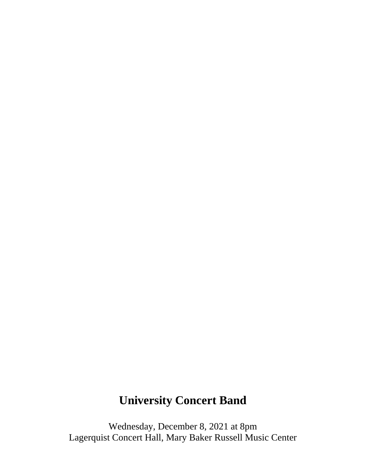# **University Concert Band**

Wednesday, December 8, 2021 at 8pm Lagerquist Concert Hall, Mary Baker Russell Music Center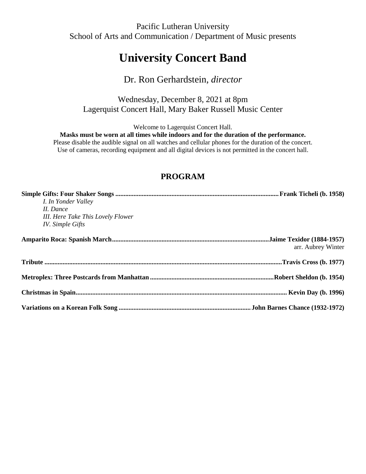Pacific Lutheran University School of Arts and Communication / Department of Music presents

## **University Concert Band**

## Dr. Ron Gerhardstein, *director*

Wednesday, December 8, 2021 at 8pm Lagerquist Concert Hall, Mary Baker Russell Music Center

Welcome to Lagerquist Concert Hall.

**Masks must be worn at all times while indoors and for the duration of the performance.**

Please disable the audible signal on all watches and cellular phones for the duration of the concert. Use of cameras, recording equipment and all digital devices is not permitted in the concert hall.

### **PROGRAM**

| I. In Yonder Valley<br>II. Dance<br>III. Here Take This Lovely Flower<br><b>IV.</b> Simple Gifts |                    |
|--------------------------------------------------------------------------------------------------|--------------------|
|                                                                                                  | arr. Aubrey Winter |
|                                                                                                  |                    |
|                                                                                                  |                    |
|                                                                                                  |                    |
|                                                                                                  |                    |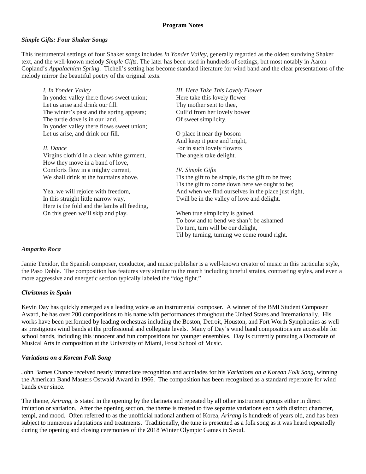#### **Program Notes**

#### *Simple Gifts: Four Shaker Songs*

This instrumental settings of four Shaker songs includes *In Yonder Valley*, generally regarded as the oldest surviving Shaker text, and the well-known melody *Simple Gifts*. The later has been used in hundreds of settings, but most notably in Aaron Copland's *Appalachian Spring*. Ticheli's setting has become standard literature for wind band and the clear presentations of the melody mirror the beautiful poetry of the original texts.

*I. In Yonder Valley* In yonder valley there flows sweet union; Let us arise and drink our fill. The winter's past and the spring appears; The turtle dove is in our land. In yonder valley there flows sweet union; Let us arise, and drink our fill. *II. Dance* Virgins cloth'd in a clean white garment, How they move in a band of love, Comforts flow in a mighty current, We shall drink at the fountains above. Yea, we will rejoice with freedom, In this straight little narrow way, Here is the fold and the lambs all feeding, *III. Here Take This Lovely Flower* Here take this lovely flower Thy mother sent to thee, Cull'd from her lovely bower Of sweet simplicity. O place it near thy bosom And keep it pure and bright, For in such lovely flowers The angels take delight. *IV. Simple Gifts* Tis the gift to be simple, tis the gift to be free; Tis the gift to come down here we ought to be; And when we find ourselves in the place just right, Twill be in the valley of love and delight.

> When true simplicity is gained, To bow and to bend we shan't be ashamed To turn, turn will be our delight, Til by turning, turning we come round right.

#### *Amparito Roca*

Jamie Texidor, the Spanish composer, conductor, and music publisher is a well-known creator of music in this particular style, the Paso Doble. The composition has features very similar to the march including tuneful strains, contrasting styles, and even a more aggressive and energetic section typically labeled the "dog fight."

#### *Christmas in Spain*

Kevin Day has quickly emerged as a leading voice as an instrumental composer. A winner of the BMI Student Composer Award, he has over 200 compositions to his name with performances throughout the United States and Internationally. His works have been performed by leading orchestras including the Boston, Detroit, Houston, and Fort Worth Symphonies as well as prestigious wind bands at the professional and collegiate levels. Many of Day's wind band compositions are accessible for school bands, including this innocent and fun compositions for younger ensembles. Day is currently pursuing a Doctorate of Musical Arts in composition at the University of Miami, Frost School of Music.

#### *Variations on a Korean Folk Song*

On this green we'll skip and play.

John Barnes Chance received nearly immediate recognition and accolades for his *Variations on a Korean Folk Song*, winning the American Band Masters Ostwald Award in 1966. The composition has been recognized as a standard repertoire for wind bands ever since.

The theme, *Arirang,* is stated in the opening by the clarinets and repeated by all other instrument groups either in direct imitation or variation. After the opening section, the theme is treated to five separate variations each with distinct character, tempi, and mood. Often referred to as the unofficial national anthem of Korea, *Arirang* is hundreds of years old, and has been subject to numerous adaptations and treatments. Traditionally, the tune is presented as a folk song as it was heard repeatedly during the opening and closing ceremonies of the 2018 Winter Olympic Games in Seoul.